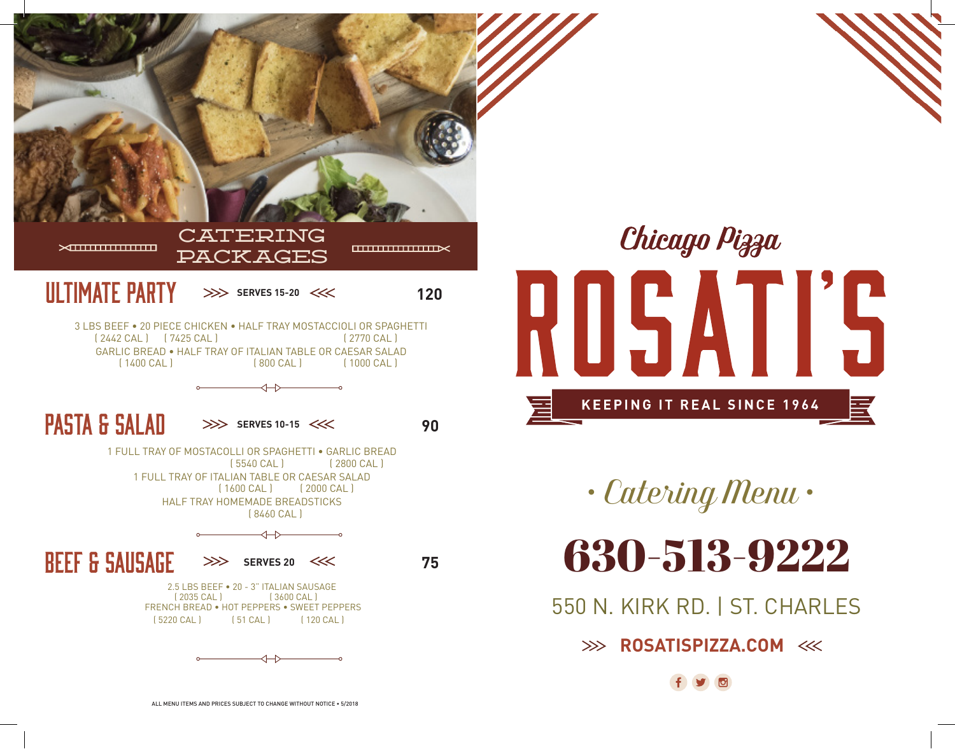

Chicago Pizza ROSATIS **KEEPING IT REAL SINCE 1964** 

*• Catering Menu •*

630-513-9222

550 N. KIRK RD. | ST. CHARLES

**ROSATISPIZZA.COM**